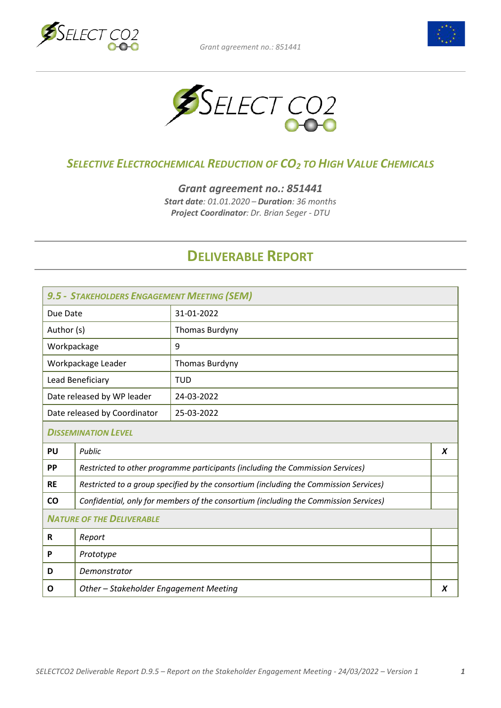





## *SELECTIVE ELECTROCHEMICAL REDUCTION OF CO2 TO HIGH VALUE CHEMICALS*

*Grant agreement no.: 851441*

*Start date: 01.01.2020 – Duration: 36 months Project Coordinator: Dr. Brian Seger - DTU*

## **DELIVERABLE REPORT**

| 9.5 - STAKEHOLDERS ENGAGEMENT MEETING (SEM) |                                                                                       |                |  |
|---------------------------------------------|---------------------------------------------------------------------------------------|----------------|--|
| Due Date                                    |                                                                                       | 31-01-2022     |  |
| Author (s)                                  |                                                                                       | Thomas Burdyny |  |
| Workpackage                                 |                                                                                       | 9              |  |
| Workpackage Leader                          |                                                                                       | Thomas Burdyny |  |
| Lead Beneficiary                            |                                                                                       | <b>TUD</b>     |  |
| Date released by WP leader                  |                                                                                       | 24-03-2022     |  |
| Date released by Coordinator                |                                                                                       | 25-03-2022     |  |
| <b>DISSEMINATION LEVEL</b>                  |                                                                                       |                |  |
| PU                                          | Public<br>X                                                                           |                |  |
| <b>PP</b>                                   | Restricted to other programme participants (including the Commission Services)        |                |  |
| <b>RE</b>                                   | Restricted to a group specified by the consortium (including the Commission Services) |                |  |
| CO                                          | Confidential, only for members of the consortium (including the Commission Services)  |                |  |
| <b>NATURE OF THE DELIVERABLE</b>            |                                                                                       |                |  |
| R                                           | Report                                                                                |                |  |
| P                                           | Prototype                                                                             |                |  |
| D                                           | Demonstrator                                                                          |                |  |
| O                                           | Other - Stakeholder Engagement Meeting<br>X                                           |                |  |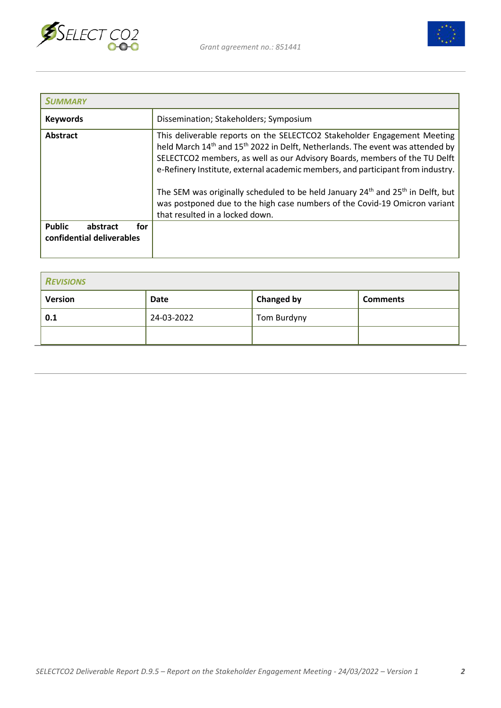



| <b>SUMMARY</b>                                                |                                                                                                                                                                                                                                                                                                                                                                                                                                                                                                                                                                                 |
|---------------------------------------------------------------|---------------------------------------------------------------------------------------------------------------------------------------------------------------------------------------------------------------------------------------------------------------------------------------------------------------------------------------------------------------------------------------------------------------------------------------------------------------------------------------------------------------------------------------------------------------------------------|
| <b>Keywords</b>                                               | Dissemination; Stakeholders; Symposium                                                                                                                                                                                                                                                                                                                                                                                                                                                                                                                                          |
| Abstract                                                      | This deliverable reports on the SELECTCO2 Stakeholder Engagement Meeting<br>held March 14 <sup>th</sup> and 15 <sup>th</sup> 2022 in Delft, Netherlands. The event was attended by<br>SELECTCO2 members, as well as our Advisory Boards, members of the TU Delft<br>e-Refinery Institute, external academic members, and participant from industry.<br>The SEM was originally scheduled to be held January 24 <sup>th</sup> and 25 <sup>th</sup> in Delft, but<br>was postponed due to the high case numbers of the Covid-19 Omicron variant<br>that resulted in a locked down. |
| <b>Public</b><br>for<br>abstract<br>confidential deliverables |                                                                                                                                                                                                                                                                                                                                                                                                                                                                                                                                                                                 |

| <b>REVISIONS</b> |            |                   |                 |
|------------------|------------|-------------------|-----------------|
| <b>Version</b>   | Date       | <b>Changed by</b> | <b>Comments</b> |
| 0.1              | 24-03-2022 | Tom Burdyny       |                 |
|                  |            |                   |                 |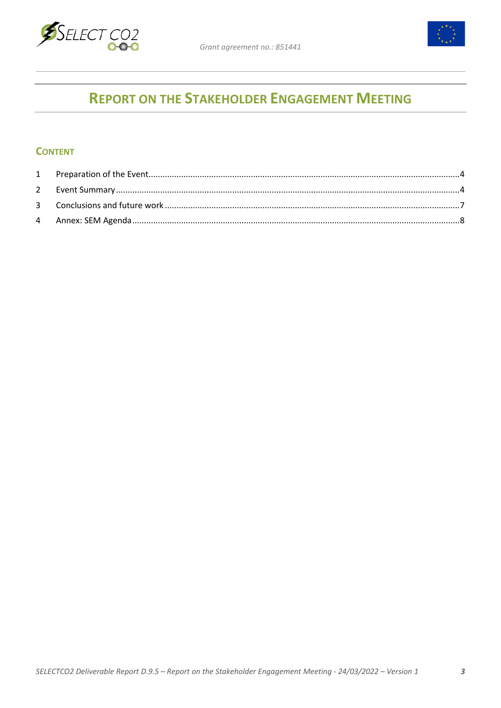



# **REPORT ON THE STAKEHOLDER ENGAGEMENT MEETING**

#### **CONTENT**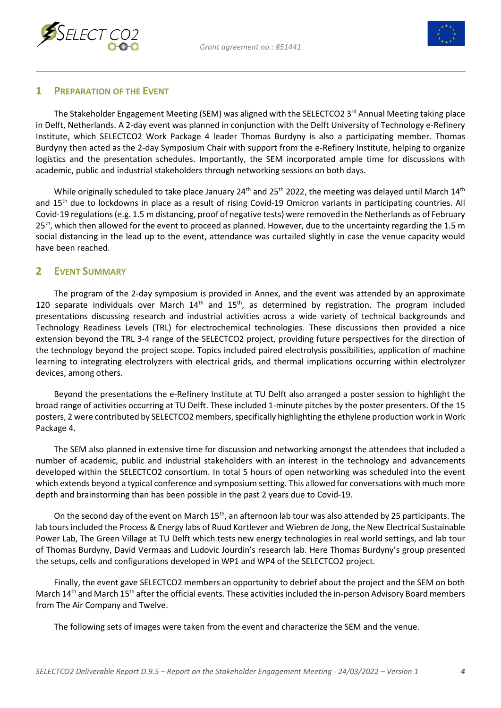



### <span id="page-3-0"></span>**1 PREPARATION OF THE EVENT**

The Stakeholder Engagement Meeting (SEM) was aligned with the SELECTCO2 3<sup>rd</sup> Annual Meeting taking place in Delft, Netherlands. A 2-day event was planned in conjunction with the Delft University of Technology e-Refinery Institute, which SELECTCO2 Work Package 4 leader Thomas Burdyny is also a participating member. Thomas Burdyny then acted as the 2-day Symposium Chair with support from the e-Refinery Institute, helping to organize logistics and the presentation schedules. Importantly, the SEM incorporated ample time for discussions with academic, public and industrial stakeholders through networking sessions on both days.

While originally scheduled to take place January 24<sup>th</sup> and 25<sup>th</sup> 2022, the meeting was delayed until March 14<sup>th</sup> and 15<sup>th</sup> due to lockdowns in place as a result of rising Covid-19 Omicron variants in participating countries. All Covid-19 regulations (e.g. 1.5 m distancing, proof of negative tests) were removed in the Netherlands as of February 25<sup>th</sup>, which then allowed for the event to proceed as planned. However, due to the uncertainty regarding the 1.5 m social distancing in the lead up to the event, attendance was curtailed slightly in case the venue capacity would have been reached.

#### <span id="page-3-1"></span>**2 EVENT SUMMARY**

The program of the 2-day symposium is provided in Annex, and the event was attended by an approximate 120 separate individuals over March  $14<sup>th</sup>$  and  $15<sup>th</sup>$ , as determined by registration. The program included presentations discussing research and industrial activities across a wide variety of technical backgrounds and Technology Readiness Levels (TRL) for electrochemical technologies. These discussions then provided a nice extension beyond the TRL 3-4 range of the SELECTCO2 project, providing future perspectives for the direction of the technology beyond the project scope. Topics included paired electrolysis possibilities, application of machine learning to integrating electrolyzers with electrical grids, and thermal implications occurring within electrolyzer devices, among others.

Beyond the presentations the e-Refinery Institute at TU Delft also arranged a poster session to highlight the broad range of activities occurring at TU Delft. These included 1-minute pitches by the poster presenters. Of the 15 posters, 2 were contributed by SELECTCO2 members, specifically highlighting the ethylene production work in Work Package 4.

The SEM also planned in extensive time for discussion and networking amongst the attendees that included a number of academic, public and industrial stakeholders with an interest in the technology and advancements developed within the SELECTCO2 consortium. In total 5 hours of open networking was scheduled into the event which extends beyond a typical conference and symposium setting. This allowed for conversations with much more depth and brainstorming than has been possible in the past 2 years due to Covid-19.

On the second day of the event on March 15<sup>th</sup>, an afternoon lab tour was also attended by 25 participants. The lab tours included the Process & Energy labs of Ruud Kortlever and Wiebren de Jong, the New Electrical Sustainable Power Lab, The Green Village at TU Delft which tests new energy technologies in real world settings, and lab tour of Thomas Burdyny, David Vermaas and Ludovic Jourdin's research lab. Here Thomas Burdyny's group presented the setups, cells and configurations developed in WP1 and WP4 of the SELECTCO2 project.

Finally, the event gave SELECTCO2 members an opportunity to debrief about the project and the SEM on both March 14<sup>th</sup> and March 15<sup>th</sup> after the official events. These activities included the in-person Advisory Board members from The Air Company and Twelve.

The following sets of images were taken from the event and characterize the SEM and the venue.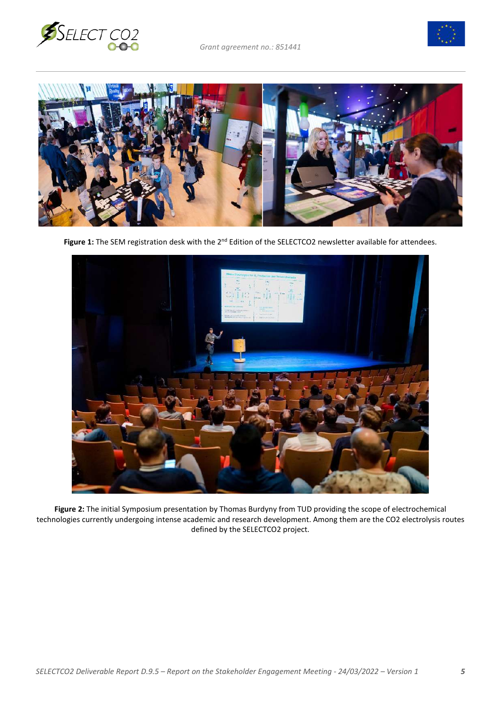





Figure 1: The SEM registration desk with the 2<sup>nd</sup> Edition of the SELECTCO2 newsletter available for attendees.



**Figure 2:** The initial Symposium presentation by Thomas Burdyny from TUD providing the scope of electrochemical technologies currently undergoing intense academic and research development. Among them are the CO2 electrolysis routes defined by the SELECTCO2 project.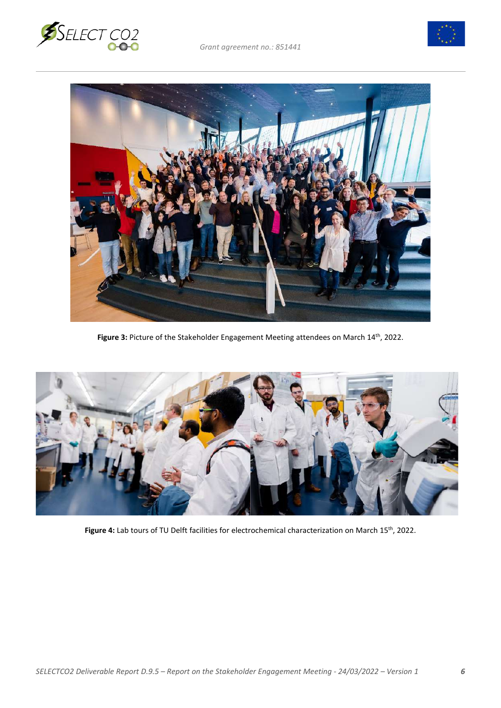





Figure 3: Picture of the Stakeholder Engagement Meeting attendees on March 14<sup>th</sup>, 2022.



Figure 4: Lab tours of TU Delft facilities for electrochemical characterization on March 15<sup>th</sup>, 2022.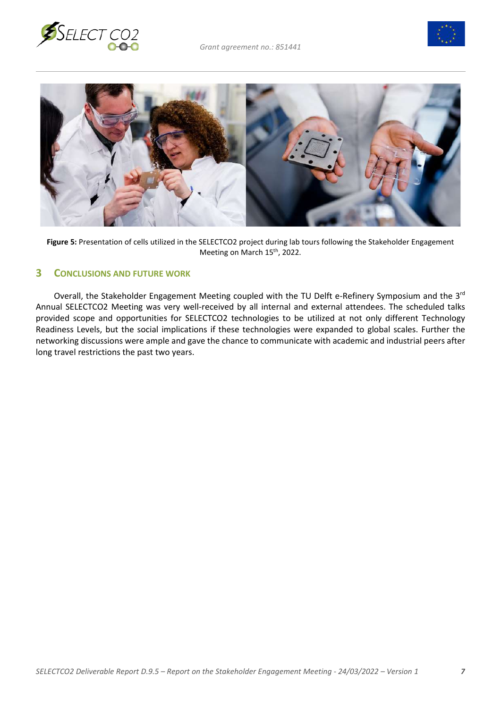





**Figure 5:** Presentation of cells utilized in the SELECTCO2 project during lab tours following the Stakeholder Engagement Meeting on March 15<sup>th</sup>, 2022.

#### <span id="page-6-0"></span>**3 CONCLUSIONS AND FUTURE WORK**

Overall, the Stakeholder Engagement Meeting coupled with the TU Delft e-Refinery Symposium and the 3<sup>rd</sup> Annual SELECTCO2 Meeting was very well-received by all internal and external attendees. The scheduled talks provided scope and opportunities for SELECTCO2 technologies to be utilized at not only different Technology Readiness Levels, but the social implications if these technologies were expanded to global scales. Further the networking discussions were ample and gave the chance to communicate with academic and industrial peers after long travel restrictions the past two years.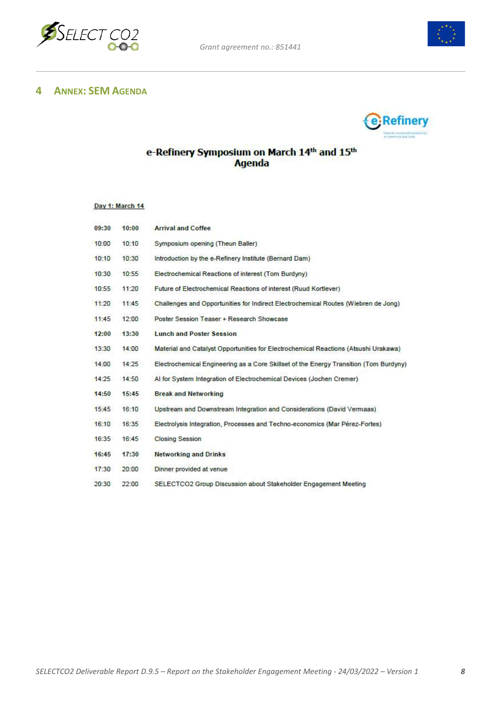



## <span id="page-7-0"></span>**4 ANNEX: SEM AGENDA**



# e-Refinery Symposium on March 14<sup>th</sup> and 15<sup>th</sup><br>Agenda

#### Day 1: March 14

| 09:30 | 10:00 | <b>Arrival and Coffee</b>                                                             |
|-------|-------|---------------------------------------------------------------------------------------|
| 10:00 | 10:10 | Symposium opening (Theun Baller)                                                      |
| 10:10 | 10:30 | Introduction by the e-Refinery Institute (Bernard Dam)                                |
| 10:30 | 10:55 | Electrochemical Reactions of interest (Tom Burdyny)                                   |
| 10:55 | 11:20 | Future of Electrochemical Reactions of interest (Ruud Kortlever)                      |
| 11:20 | 11:45 | Challenges and Opportunities for Indirect Electrochemical Routes (Wiebren de Jong)    |
| 11:45 | 12:00 | Poster Session Teaser + Research Showcase                                             |
| 12:00 | 13:30 | <b>Lunch and Poster Session</b>                                                       |
| 13:30 | 14:00 | Material and Catalyst Opportunities for Electrochemical Reactions (Atsushi Urakawa)   |
| 14:00 | 14:25 | Electrochemical Engineering as a Core Skillset of the Energy Transition (Tom Burdyny) |
| 14:25 | 14:50 | Al for System Integration of Electrochemical Devices (Jochen Cremer)                  |
| 14:50 | 15:45 | <b>Break and Networking</b>                                                           |
| 15:45 | 16:10 | Upstream and Downstream Integration and Considerations (David Vermaas)                |
| 16:10 | 16:35 | Electrolysis Integration, Processes and Techno-economics (Mar Pérez-Fortes)           |
| 16:35 | 16:45 | <b>Closing Session</b>                                                                |
| 16:45 | 17:30 | <b>Networking and Drinks</b>                                                          |
| 17:30 | 20:00 | Dinner provided at venue                                                              |
| 20:30 | 22:00 | SELECTCO2 Group Discussion about Stakeholder Engagement Meeting                       |